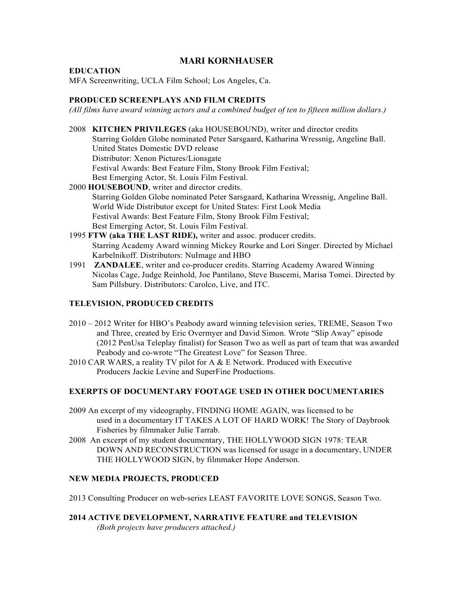# **MARI KORNHAUSER**

#### **EDUCATION**

MFA Screenwriting, UCLA Film School; Los Angeles, Ca.

### **PRODUCED SCREENPLAYS AND FILM CREDITS**

*(All films have award winning actors and a combined budget of ten to fifteen million dollars.)*

2008 **KITCHEN PRIVILEGES** (aka HOUSEBOUND), writer and director credits Starring Golden Globe nominated Peter Sarsgaard, Katharina Wressnig, Angeline Ball. United States Domestic DVD release Distributor: Xenon Pictures/Lionsgate Festival Awards: Best Feature Film, Stony Brook Film Festival; Best Emerging Actor, St. Louis Film Festival. 2000 **HOUSEBOUND**, writer and director credits. Starring Golden Globe nominated Peter Sarsgaard, Katharina Wressnig, Angeline Ball. World Wide Distributor except for United States: First Look Media Festival Awards: Best Feature Film, Stony Brook Film Festival;

Best Emerging Actor, St. Louis Film Festival.

- 1995 **FTW (aka THE LAST RIDE),** writer and assoc. producer credits. Starring Academy Award winning Mickey Rourke and Lori Singer. Directed by Michael Karbelnikoff. Distributors: NuImage and HBO
- 1991 **ZANDALEE**, writer and co-producer credits. Starring Academy Awared Winning Nicolas Cage, Judge Reinhold, Joe Pantilano, Steve Buscemi, Marisa Tomei. Directed by Sam Pillsbury. Distributors: Carolco, Live, and ITC.

## **TELEVISION, PRODUCED CREDITS**

- 2010 2012 Writer for HBO's Peabody award winning television series, TREME, Season Two and Three, created by Eric Overmyer and David Simon. Wrote "Slip Away" episode (2012 PenUsa Teleplay finalist) for Season Two as well as part of team that was awarded Peabody and co-wrote "The Greatest Love" for Season Three.
- 2010 CAR WARS, a reality TV pilot for A & E Network. Produced with Executive Producers Jackie Levine and SuperFine Productions.

#### **EXERPTS OF DOCUMENTARY FOOTAGE USED IN OTHER DOCUMENTARIES**

- 2009 An excerpt of my videography, FINDING HOME AGAIN, was licensed to be used in a documentary IT TAKES A LOT OF HARD WORK! The Story of Daybrook Fisheries by filmmaker Julie Tarrab.
- 2008 An excerpt of my student documentary, THE HOLLYWOOD SIGN 1978: TEAR DOWN AND RECONSTRUCTION was licensed for usage in a documentary, UNDER THE HOLLYWOOD SIGN, by filmmaker Hope Anderson.

#### **NEW MEDIA PROJECTS, PRODUCED**

2013 Consulting Producer on web-series LEAST FAVORITE LOVE SONGS, Season Two.

**2014 ACTIVE DEVELOPMENT, NARRATIVE FEATURE and TELEVISION** *(Both projects have producers attached.)*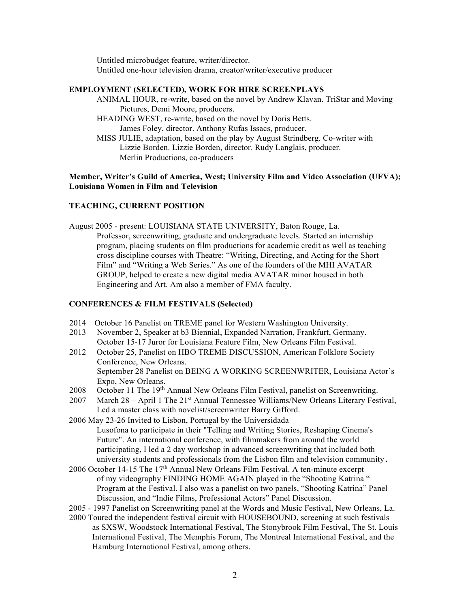Untitled microbudget feature, writer/director. Untitled one-hour television drama, creator/writer/executive producer

### **EMPLOYMENT (SELECTED), WORK FOR HIRE SCREENPLAYS**

- ANIMAL HOUR, re-write, based on the novel by Andrew Klavan. TriStar and Moving Pictures, Demi Moore, producers.
- HEADING WEST, re-write, based on the novel by Doris Betts. James Foley, director. Anthony Rufas Issacs, producer.
- MISS JULIE, adaptation, based on the play by August Strindberg. Co-writer with Lizzie Borden. Lizzie Borden, director. Rudy Langlais, producer. Merlin Productions, co-producers

**Member, Writer's Guild of America, West; University Film and Video Association (UFVA); Louisiana Women in Film and Television**

### **TEACHING, CURRENT POSITION**

August 2005 - present: LOUISIANA STATE UNIVERSITY, Baton Rouge, La. Professor, screenwriting, graduate and undergraduate levels. Started an internship program, placing students on film productions for academic credit as well as teaching cross discipline courses with Theatre: "Writing, Directing, and Acting for the Short Film" and "Writing a Web Series." As one of the founders of the MHI AVATAR GROUP, helped to create a new digital media AVATAR minor housed in both Engineering and Art. Am also a member of FMA faculty.

## **CONFERENCES & FILM FESTIVALS (Selected)**

- 2014 October 16 Panelist on TREME panel for Western Washington University.
- 2013 November 2, Speaker at b3 Biennial, Expanded Narration, Frankfurt, Germany. October 15-17 Juror for Louisiana Feature Film, New Orleans Film Festival.
- 2012 October 25, Panelist on HBO TREME DISCUSSION, American Folklore Society Conference, New Orleans. September 28 Panelist on BEING A WORKING SCREENWRITER, Louisiana Actor's Expo, New Orleans.
- 2008 October 11 The 19<sup>th</sup> Annual New Orleans Film Festival, panelist on Screenwriting.
- 2007 March 28 April 1 The 21st Annual Tennessee Williams/New Orleans Literary Festival, Led a master class with novelist/screenwriter Barry Gifford.
- 2006 May 23-26 Invited to Lisbon, Portugal by the Universidada Lusofona to participate in their "Telling and Writing Stories, Reshaping Cinema's Future". An international conference, with filmmakers from around the world participating, I led a 2 day workshop in advanced screenwriting that included both university students and professionals from the Lisbon film and television community.
- 2006 October 14-15 The  $17<sup>th</sup>$  Annual New Orleans Film Festival. A ten-minute excerpt of my videography FINDING HOME AGAIN played in the "Shooting Katrina " Program at the Festival. I also was a panelist on two panels, "Shooting Katrina" Panel Discussion, and "Indie Films, Professional Actors" Panel Discussion.
- 2005 1997 Panelist on Screenwriting panel at the Words and Music Festival, New Orleans, La.
- 2000 Toured the independent festival circuit with HOUSEBOUND, screening at such festivals as SXSW, Woodstock International Festival, The Stonybrook Film Festival, The St. Louis International Festival, The Memphis Forum, The Montreal International Festival, and the Hamburg International Festival, among others.